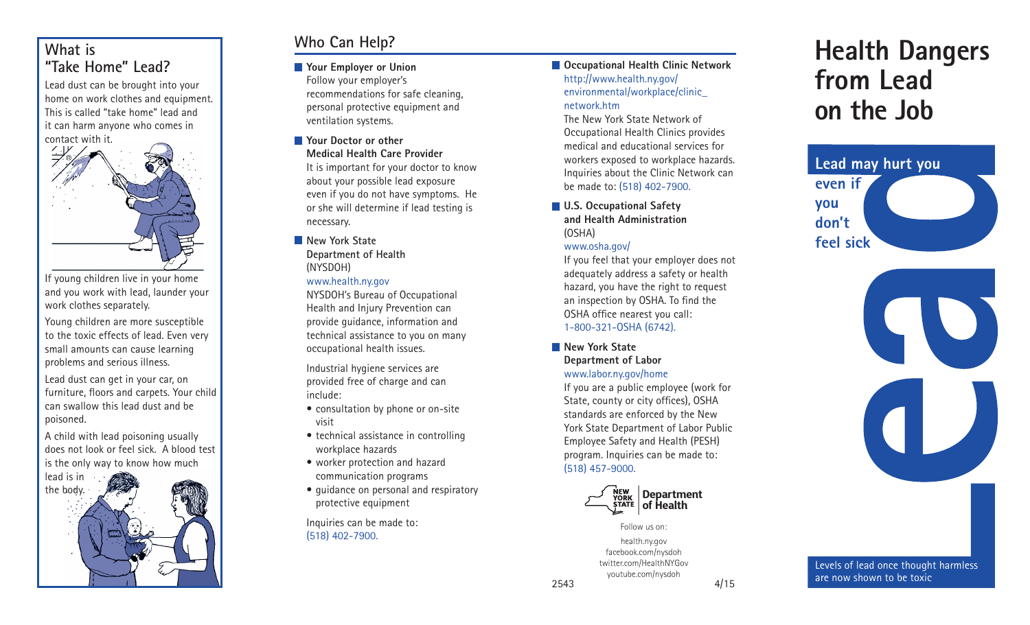## **What is "Take Home" Lead?**

Lead dust can be brought into your home on work clothes and equipment. This is called "take home" lead and it can harm anyone who comes in contact with it.



If young children live in your home and you work with lead, launder your work clothes separately.

Young children are more susceptible to the toxic effects of lead. Even very small amounts can cause learning problems and serious illness.

Lead dust can get in your car, on furniture, floors and carpets. Your child can swallow this lead dust and be poisoned.

A child with lead poisoning usually does not look or feel sick. A blood test is the only way to know how much



# **Who Can Help?**

**Your Employer or Union**

Follow your employer's recommendations for safe cleaning, personal protective equipment and ventilation systems.

**Your Doctor or other** 

**Medical Health Care Provider**

It is important for your doctor to know about your possible lead exposure even if you do not have symptoms. He or she will determine if lead testing is necessary.

## **New York State Department of Health** (NYSDOH)

www.health.ny.gov

NYSDOH's Bureau of Occupational Health and Injury Prevention can provide guidance, information and technical assistance to you on many occupational health issues.

Industrial hygiene services are provided free of charge and can include:

- consultation by phone or on-site visit
- technical assistance in controlling workplace hazards
- worker protection and hazard communication programs
- protective equipment

Inquiries can be made to: (518) 402-7900.

**Occupational Health Clinic Network**  http://www.health.ny.gov/ environmental/workplace/clinic\_ network.htm

The New York State Network of Occupational Health Clinics provides medical and educational services for workers exposed to workplace hazards. Inquiries about the Clinic Network can be made to: (518) 402-7900.

**U.S. Occupational Safety and Health Administration** (OSHA)

## www.osha.gov/

If you feel that your employer does not adequately address a safety or health hazard, you have the right to request an inspection by OSHA. To find the OSHA office nearest you call: 1-800-321-OSHA (6742).

**New York State** 

### **Department of Labor**  www.labor.ny.gov/home

If you are a public employee (work for State, county or city offices), OSHA standards are enforced by the New York State Department of Labor Public Employee Safety and Health (PESH) program. Inquiries can be made to: (518) 457-9000.



#### Follow us on: health.ny.gov

facebook.com/nysdoh twitter.com/HealthNYGov youtube.com/nysdoh

# **Health Dangers from Lead on the Job**





youtube.com/nysdoh are now shown to be toxic<br>2543